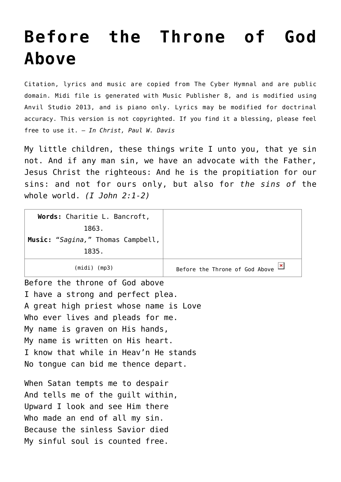## **[Before the Throne of God](http://reproachofmen.org/hymns-and-music/before-the-throne-of-god-above/) [Above](http://reproachofmen.org/hymns-and-music/before-the-throne-of-god-above/)**

Citation, lyrics and music are copied from [The Cyber Hymnal](http://www.hymntime.com/tch/) and are public domain. Midi file is generated with [Music Publisher 8](http://www.braeburn.co.uk/mp.htm), and is modified using [Anvil Studio 2013](http://www.anvilstudio.com/), and is piano only. Lyrics may be modified for doctrinal accuracy. This version is not copyrighted. If you find it a blessing, please feel free to use it. — *In Christ, Paul W. Davis*

My little children, these things write I unto you, that ye sin not. And if any man sin, we have an advocate with the Father, Jesus Christ the righteous: And he is the propitiation for our sins: and not for ours only, but also for *the sins of* the whole world. *(I John 2:1-2)*

| Words: Charitie L. Bancroft,<br>1863.<br>Music: "Sagina," Thomas Campbell,<br>1835. |                                                  |
|-------------------------------------------------------------------------------------|--------------------------------------------------|
| $(midi)$ (mp3)                                                                      | $\pmb{\times}$<br>Before the Throne of God Above |
| Before the throne of God above                                                      |                                                  |
| I have a strong and perfect plea.                                                   |                                                  |
| A great high priest whose name is Love                                              |                                                  |
| Who ever lives and pleads for me.                                                   |                                                  |
| My name is graven on His hands,                                                     |                                                  |
| My name is written on His heart.                                                    |                                                  |
| I know that while in Heav'n He stands                                               |                                                  |
| No tongue can bid me thence depart.                                                 |                                                  |
|                                                                                     |                                                  |
| When Satan tempts me to despair                                                     |                                                  |
| And tells me of the guilt within,                                                   |                                                  |
| Upward I look and see Him there                                                     |                                                  |
| Who made an end of all my sin.                                                      |                                                  |
| Because the sinless Savior died                                                     |                                                  |
| My sinful soul is counted free.                                                     |                                                  |